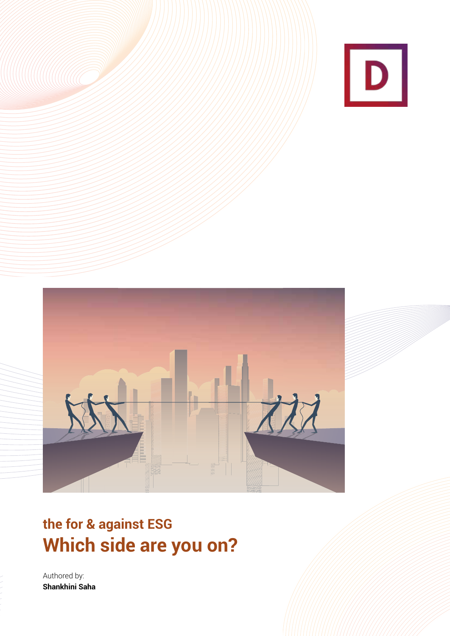



# **the for & against ESG Which side are you on?**

Authored by: **Shankhini Saha**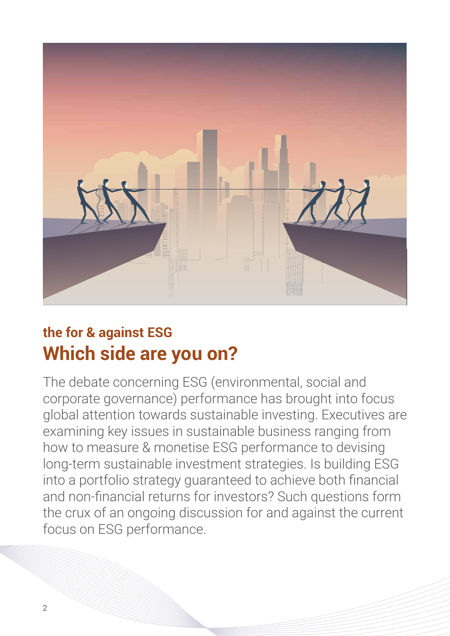

# **the for & against ESG Which side are you on?**

The debate concerning ESG (environmental, social and corporate governance) performance has brought into focus global attention towards sustainable investing. Executives are examining key issues in sustainable business ranging from how to measure & monetise ESG performance to devising long-term sustainable investment strategies. Is building ESG into a portfolio strategy guaranteed to achieve both financial and non-financial returns for investors? Such questions form the crux of an ongoing discussion for and against the current focus on ESG performance.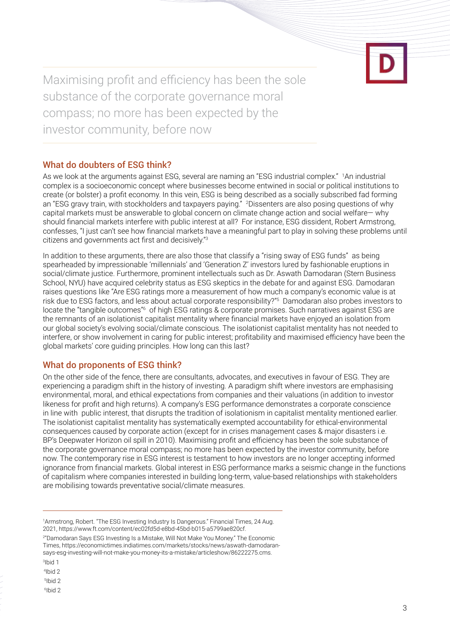Maximising profit and efficiency has been the sole substance of the corporate governance moral compass; no more has been expected by the investor community, before now

## What do doubters of ESG think?

As we look at the arguments against ESG, several are naming an "ESG industrial complex." 1 An industrial complex is a socioeconomic concept where businesses become entwined in social or political institutions to create (or bolster) a profit economy. In this vein, ESG is being described as a socially subscribed fad forming an "ESG gravy train, with stockholders and taxpayers paying." 2 Dissenters are also posing questions of why capital markets must be answerable to global concern on climate change action and social welfare— why should financial markets interfere with public interest at all? For instance, ESG dissident, Robert Armstrong, confesses, "I just can't see how financial markets have a meaningful part to play in solving these problems until citizens and governments act first and decisively."<sup>3</sup>

In addition to these arguments, there are also those that classify a "rising sway of ESG funds" as being spearheaded by impressionable 'millennials' and 'Generation Z' investors lured by fashionable eruptions in social/climate justice. Furthermore, prominent intellectuals such as Dr. Aswath Damodaran (Stern Business School, NYU) have acquired celebrity status as ESG skeptics in the debate for and against ESG. Damodaran raises questions like "Are ESG ratings more a measurement of how much a company's economic value is at risk due to ESG factors, and less about actual corporate responsibility?"<sup>5</sup> Damodaran also probes investors to locate the "tangible outcomes"<sup>6</sup> of high ESG ratings & corporate promises. Such narratives against ESG are the remnants of an isolationist capitalist mentality where financial markets have enjoyed an isolation from our global society's evolving social/climate conscious. The isolationist capitalist mentality has not needed to interfere, or show involvement in caring for public interest; profitability and maximised efficiency have been the global markets' core guiding principles. How long can this last?

### What do proponents of ESG think?

On the other side of the fence, there are consultants, advocates, and executives in favour of ESG. They are experiencing a paradigm shift in the history of investing. A paradigm shift where investors are emphasising environmental, moral, and ethical expectations from companies and their valuations (in addition to investor likeness for profit and high returns). A company's ESG performance demonstrates a corporate conscience in line with public interest, that disrupts the tradition of isolationism in capitalist mentality mentioned earlier. The isolationist capitalist mentality has systematically exempted accountability for ethical-environmental consequences caused by corporate action (except for in crises management cases & major disasters i.e. BP's Deepwater Horizon oil spill in 2010). Maximising profit and efficiency has been the sole substance of the corporate governance moral compass; no more has been expected by the investor community, before now. The contemporary rise in ESG interest is testament to how investors are no longer accepting informed ignorance from financial markets. Global interest in ESG performance marks a seismic change in the functions of capitalism where companies interested in building long-term, value-based relationships with stakeholders are mobilising towards preventative social/climate measures.

1 Armstrong, Robert. "The ESG Investing Industry Is Dangerous." Financial Times, 24 Aug. 2021, https://www.ft.com/content/ec02fd5d-e8bd-45bd-b015-a5799ae820cf. 2 "Damodaran Says ESG Investing Is a Mistake, Will Not Make You Money." The Economic Times, https://economictimes.indiatimes.com/markets/stocks/news/aswath-damodaran-

says-esg-investing-will-not-make-you-money-its-a-mistake/articleshow/86222275.cms.

- 3 Ibid 1
- <sup>4</sup>Ibid 2
- 5 Ibid 2
- 6 Ibid 2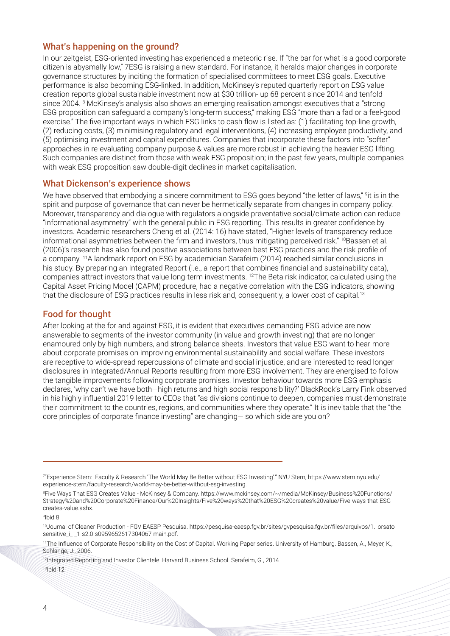### What's happening on the ground?

In our zeitgeist, ESG-oriented investing has experienced a meteoric rise. If "the bar for what is a good corporate citizen is abysmally low," 7ESG is raising a new standard. For instance, it heralds major changes in corporate governance structures by inciting the formation of specialised committees to meet ESG goals. Executive performance is also becoming ESG-linked. In addition, McKinsey's reputed quarterly report on ESG value creation reports global sustainable investment now at \$30 trillion- up 68 percent since 2014 and tenfold since 2004. <sup>8</sup> McKinsey's analysis also shows an emerging realisation amongst executives that a "strong ESG proposition can safeguard a company's long-term success," making ESG "more than a fad or a feel-good exercise." The five important ways in which ESG links to cash flow is listed as: (1) facilitating top-line growth, (2) reducing costs, (3) minimising regulatory and legal interventions, (4) increasing employee productivity, and (5) optimising investment and capital expenditures. Companies that incorporate these factors into "softer" approaches in re-evaluating company purpose & values are more robust in achieving the heavier ESG lifting. Such companies are distinct from those with weak ESG proposition; in the past few years, multiple companies with weak ESG proposition saw double-digit declines in market capitalisation.

#### What Dickenson's experience shows

We have observed that embodying a sincere commitment to ESG goes beyond "the letter of laws," <sup>9</sup>it is in the spirit and purpose of governance that can never be hermetically separate from changes in company policy. Moreover, transparency and dialogue with regulators alongside preventative social/climate action can reduce "informational asymmetry" with the general public in ESG reporting. This results in greater confidence by investors. Academic researchers Cheng et al. (2014: 16) have stated, "Higher levels of transparency reduce informational asymmetries between the firm and investors, thus mitigating perceived risk." <sup>10</sup>Bassen et al. (2006)'s research has also found positive associations between best ESG practices and the risk profile of a company. 11A landmark report on ESG by academician Sarafeim (2014) reached similar conclusions in his study. By preparing an Integrated Report (i.e., a report that combines financial and sustainability data), companies attract investors that value long-term investments. 12The Beta risk indicator, calculated using the Capital Asset Pricing Model (CAPM) procedure, had a negative correlation with the ESG indicators, showing that the disclosure of ESG practices results in less risk and, consequently, a lower cost of capital.<sup>13</sup>

# Food for thought

After looking at the for and against ESG, it is evident that executives demanding ESG advice are now answerable to segments of the investor community (in value and growth investing) that are no longer enamoured only by high numbers, and strong balance sheets. Investors that value ESG want to hear more about corporate promises on improving environmental sustainability and social welfare. These investors are receptive to wide-spread repercussions of climate and social injustice, and are interested to read longer disclosures in Integrated/Annual Reports resulting from more ESG involvement. They are energised to follow the tangible improvements following corporate promises. Investor behaviour towards more ESG emphasis declares, 'why can't we have both—high returns and high social responsibility?' BlackRock's Larry Fink observed in his highly influential 2019 letter to CEOs that "as divisions continue to deepen, companies must demonstrate their commitment to the countries, regions, and communities where they operate." It is inevitable that the "the core principles of corporate finance investing" are changing— so which side are you on?

<sup>7</sup> "Experience Stern: Faculty & Research 'The World May Be Better without ESG Investing'." NYU Stern, https://www.stern.nyu.edu/ experience-stern/faculty-research/world-may-be-better-without-esg-investing.

<sup>8</sup> Five Ways That ESG Creates Value - McKinsey & Company. https://www.mckinsey.com/~/media/McKinsey/Business%20Functions/ Strategy%20and%20Corporate%20Finance/Our%20Insights/Five%20ways%20that%20ESG%20creates%20value/Five-ways-that-ESGcreates-value.ashx.

<sup>9</sup> Ibid 8

<sup>10</sup>Journal of Cleaner Production - FGV EAESP Pesquisa. https://pesquisa-eaesp.fgv.br/sites/gvpesquisa.fgv.br/files/arquivos/1.\_orsato\_ sensitive\_i\_-\_1-s2.0-s0959652617304067-main.pdf.

<sup>&</sup>lt;sup>11</sup>The Influence of Corporate Responsibility on the Cost of Capital. Working Paper series. University of Hamburg. Bassen, A., Meyer, K., Schlange, J., 2006.

<sup>&</sup>lt;sup>12</sup>Integrated Reporting and Investor Clientele. Harvard Business School. Serafeim, G., 2014. 13Ibid 12